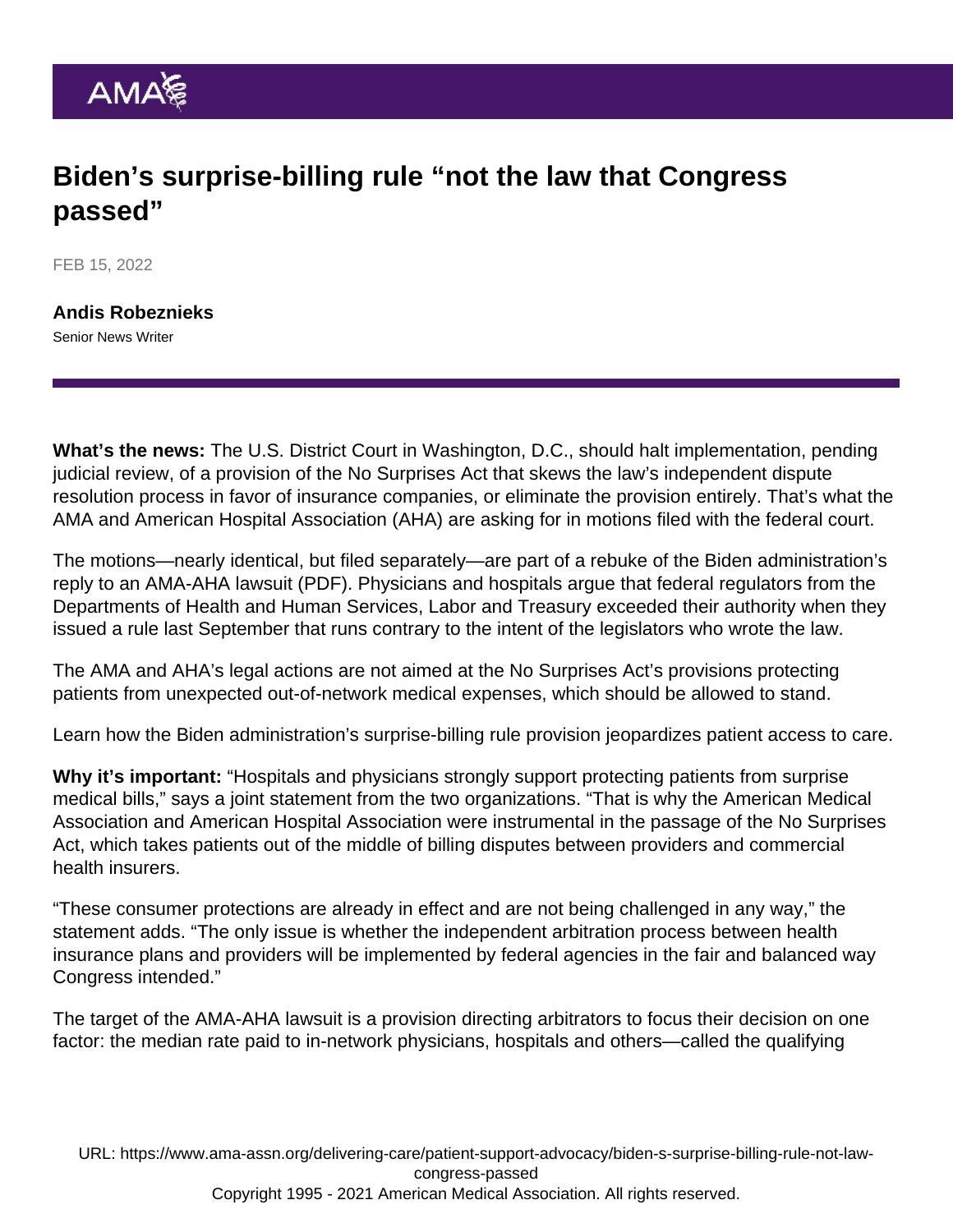## Biden's surprise-billing rule "not the law that Congress passed"

FEB 15, 2022

[Andis Robeznieks](https://www.ama-assn.org/news-leadership-viewpoints/authors-news-leadership-viewpoints/andis-robeznieks) Senior News Writer

What's the news: The U.S. District Court in Washington, D.C., should halt implementation, pending judicial review, of a provision of the [No Surprises Act](https://www.ama-assn.org/delivering-care/patient-support-advocacy/implementation-no-surprises-act) that skews the law's independent dispute resolution process in favor of insurance companies, or eliminate the provision entirely. That's what the AMA and American Hospital Association (AHA) are asking for in motions filed with the federal court.

The motions—nearly identical, but filed separately—are part of a rebuke of the Biden administration's reply to an [AMA-AHA lawsuit](https://www.ama-assn.org/system/files/ama-v-hhs-as-filed-complaint.pdf) (PDF). Physicians and hospitals argue that federal regulators from the Departments of Health and Human Services, Labor and Treasury exceeded their authority when they issued a rule last September that runs contrary to the intent of the legislators who wrote the law.

The AMA and AHA's legal actions are not aimed at the No Surprises Act's provisions protecting patients from unexpected out-of-network medical expenses, which should be allowed to stand.

Learn how the Biden administration's [surprise-billing rule provision jeopardizes patient access to care.](https://www.ama-assn.org/delivering-care/patient-support-advocacy/surprise-billing-rule-provision-jeopardizes-patient-access)

Why it's important: "Hospitals and physicians strongly support protecting patients from surprise medical bills," says a joint statement from the two organizations. "That is why the American Medical Association and American Hospital Association were instrumental in the passage of the No Surprises Act, which takes patients out of the middle of billing disputes between providers and commercial health insurers.

"These consumer protections are already in effect and are not being challenged in any way," the statement adds. "The only issue is whether the independent arbitration process between health insurance plans and providers will be implemented by federal agencies in the fair and balanced way Congress intended."

The target of the AMA-AHA lawsuit is a provision directing arbitrators to focus their decision on one factor: the median rate paid to in-network physicians, hospitals and others—called the qualifying

URL: [https://www.ama-assn.org/delivering-care/patient-support-advocacy/biden-s-surprise-billing-rule-not-law](https://www.ama-assn.org/delivering-care/patient-support-advocacy/biden-s-surprise-billing-rule-not-law-congress-passed)[congress-passed](https://www.ama-assn.org/delivering-care/patient-support-advocacy/biden-s-surprise-billing-rule-not-law-congress-passed) Copyright 1995 - 2021 American Medical Association. All rights reserved.